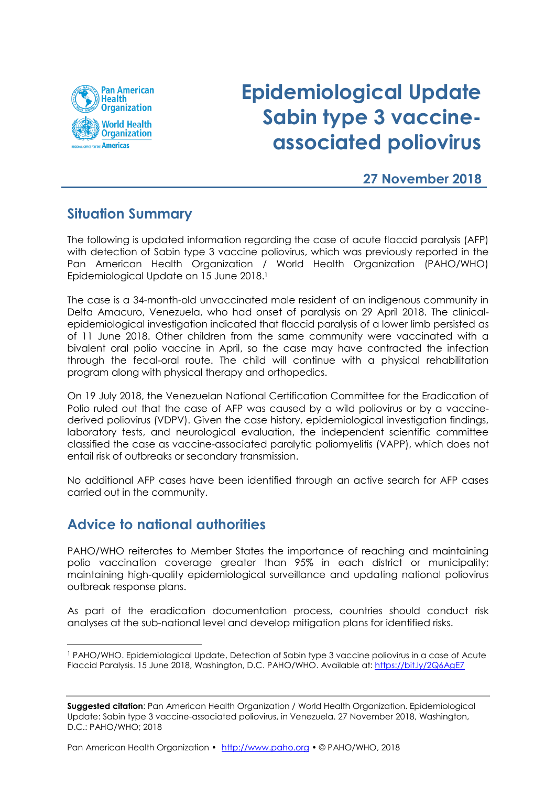

# **Epidemiological Update Sabin type 3 vaccineassociated poliovirus**

### **27 November 2018**

## **Situation Summary**

The following is updated information regarding the case of acute flaccid paralysis (AFP) with detection of Sabin type 3 vaccine poliovirus, which was previously reported in the Pan American Health Organization / World Health Organization (PAHO/WHO) Epidemiological Update on 15 June 2018. 1

The case is a 34-month-old unvaccinated male resident of an indigenous community in Delta Amacuro, Venezuela, who had onset of paralysis on 29 April 2018. The clinicalepidemiological investigation indicated that flaccid paralysis of a lower limb persisted as of 11 June 2018. Other children from the same community were vaccinated with a bivalent oral polio vaccine in April, so the case may have contracted the infection through the fecal-oral route. The child will continue with a physical rehabilitation program along with physical therapy and orthopedics.

On 19 July 2018, the Venezuelan National Certification Committee for the Eradication of Polio ruled out that the case of AFP was caused by a wild poliovirus or by a vaccinederived poliovirus (VDPV). Given the case history, epidemiological investigation findings, laboratory tests, and neurological evaluation, the independent scientific committee classified the case as vaccine-associated paralytic poliomyelitis (VAPP), which does not entail risk of outbreaks or secondary transmission.

No additional AFP cases have been identified through an active search for AFP cases carried out in the community.

## **Advice to national authorities**

 $\overline{\phantom{a}}$ 

PAHO/WHO reiterates to Member States the importance of reaching and maintaining polio vaccination coverage greater than 95% in each district or municipality; maintaining high-quality epidemiological surveillance and updating national poliovirus outbreak response plans.

As part of the eradication documentation process, countries should conduct risk analyses at the sub-national level and develop mitigation plans for identified risks.

<sup>1</sup> PAHO/WHO. Epidemiological Update, Detection of Sabin type 3 vaccine poliovirus in a case of Acute Flaccid Paralysis. 15 June 2018, Washington, D.C. PAHO/WHO. Available at: <https://bit.ly/2Q6AgE7>

**Suggested citation**: Pan American Health Organization / World Health Organization. Epidemiological Update: Sabin type 3 vaccine-associated poliovirus, in Venezuela. 27 November 2018, Washington, D.C.: PAHO/WHO; 2018